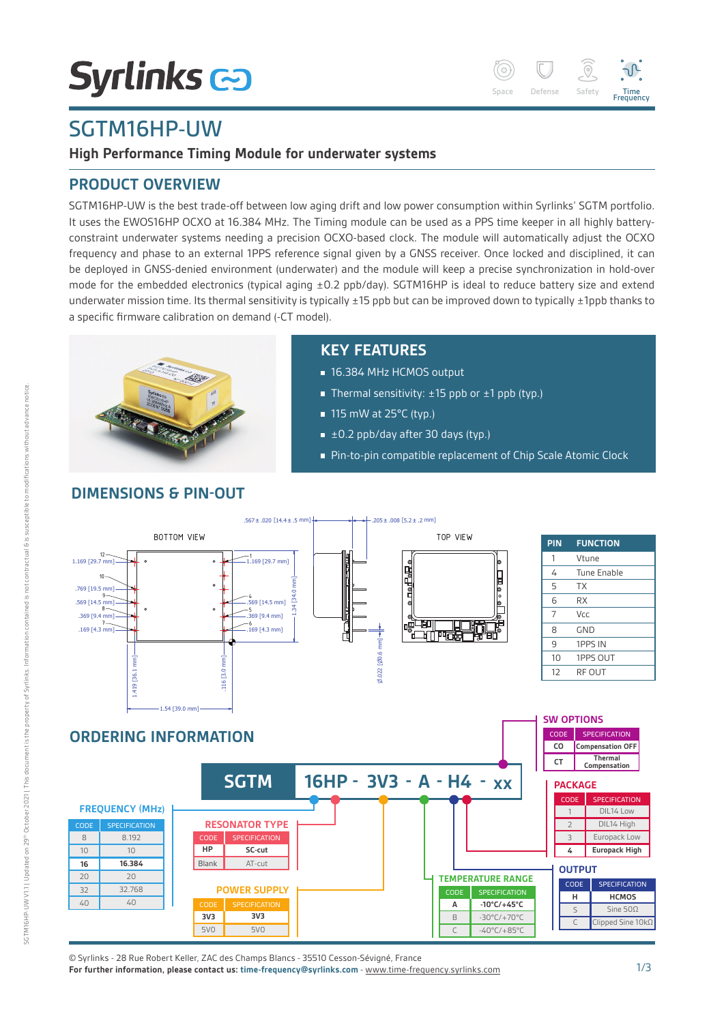# **Syrlinks &**



## SGTM16HP-UW

#### **High Performance Timing Module for underwater systems**

#### **PRODUCT OVERVIEW**

SGTM16HP-UW is the best trade-off between low aging drift and low power consumption within Syrlinks' SGTM portfolio. It uses the EWOS16HP OCXO at 16.384 MHz. The Timing module can be used as a PPS time keeper in all highly batteryconstraint underwater systems needing a precision OCXO-based clock. The module will automatically adjust the OCXO frequency and phase to an external 1PPS reference signal given by a GNSS receiver. Once locked and disciplined, it can be deployed in GNSS-denied environment (underwater) and the module will keep a precise synchronization in hold-over mode for the embedded electronics (typical aging ±0.2 ppb/day). SGTM16HP is ideal to reduce battery size and extend underwater mission time. Its thermal sensitivity is typically ±15 ppb but can be improved down to typically ±1ppb thanks to a specific firmware calibration on demand (-CT model).



## **DIMENSIONS & PIN-OUT**

### **KEY FEATURES**

- **16.384 MHz HCMOS output**
- Thermal sensitivity:  $\pm$ 15 ppb or  $\pm$ 1 ppb (typ.)
- 115 mW at 25°C (typ.)
- $\pm 0.2$  ppb/day after 30 days (typ.)
- Pin-to-pin compatible replacement of Chip Scale Atomic Clock



© Syrlinks - 28 Rue Robert Keller, ZAC des Champs Blancs - 35510 Cesson-Sévigné, France

**For further information, please contact us: time-frequency@syrlinks.com** - www.time-frequency.syrlinks.com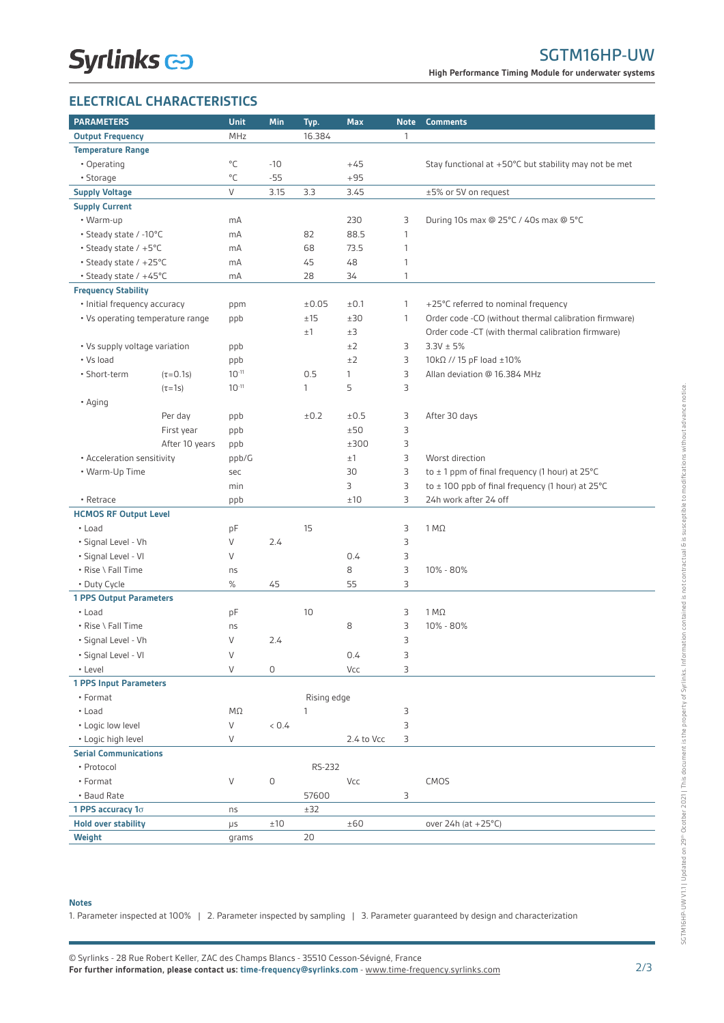#### SGTM16HP-UW

**High Performance Timing Module for underwater systems**

#### **ELECTRICAL CHARACTERISTICS**

| <b>PARAMETERS</b>                |                 | Unit                  | Min         | Typ.        | <b>Max</b> | <b>Note</b>  | <b>Comments</b>                                       |
|----------------------------------|-----------------|-----------------------|-------------|-------------|------------|--------------|-------------------------------------------------------|
| <b>Output Frequency</b>          |                 | MHz                   |             | 16.384      |            | 1            |                                                       |
| <b>Temperature Range</b>         |                 |                       |             |             |            |              |                                                       |
| • Operating                      |                 | $^{\circ}{\mathsf C}$ | $-10$       |             | $+45$      |              | Stay functional at +50°C but stability may not be met |
| · Storage                        |                 | °C                    | $-55$       |             | $+95$      |              |                                                       |
| <b>Supply Voltage</b>            |                 | V                     | 3.15        | 3.3         | 3.45       |              | ±5% or 5V on request                                  |
| <b>Supply Current</b>            |                 |                       |             |             |            |              |                                                       |
| • Warm-up                        |                 | mA                    |             |             | 230        | 3            | During 10s max @ 25°C / 40s max @ 5°C                 |
| • Steady state / -10°C           |                 | mA                    |             | 82          | 88.5       | 1            |                                                       |
| • Steady state / +5°C            |                 | mA                    |             | 68          | 73.5       | 1            |                                                       |
| • Steady state / +25°C           |                 | mA                    |             | 45          | 48         | 1            |                                                       |
| • Steady state / +45°C           |                 | mA                    |             | 28          | 34         | 1            |                                                       |
| <b>Frequency Stability</b>       |                 |                       |             |             |            |              |                                                       |
| • Initial frequency accuracy     |                 | ppm                   |             | ±0.05       | ±0.1       | $\mathbf{1}$ | +25°C referred to nominal frequency                   |
| • Vs operating temperature range |                 | ppb                   |             | ±15         | ±30        | 1            | Order code -CO (without thermal calibration firmware) |
|                                  |                 |                       |             | ±1          | ±3         |              | Order code -CT (with thermal calibration firmware)    |
| • Vs supply voltage variation    |                 | ppb                   |             |             | ±2         | 3            | $3.3V \pm 5%$                                         |
| · Vs load                        |                 | ppb                   |             |             | ±2         | 3            | 10kΩ // 15 pF load $±10\%$                            |
| · Short-term                     | $(\tau = 0.1s)$ | $10^{-11}$            |             | 0.5         | 1          | 3            | Allan deviation @ 16.384 MHz                          |
|                                  | $(\tau = 1s)$   | $10^{-11}$            |             | 1           | 5          | 3            |                                                       |
| • Aging                          |                 |                       |             |             |            |              |                                                       |
|                                  | Per day         | ppb                   |             | ±0.2        | ±0.5       | 3            | After 30 days                                         |
|                                  | First year      | ppb                   |             |             | ±50        | 3            |                                                       |
|                                  | After 10 years  | ppb                   |             |             | ±300       | 3            |                                                       |
| • Acceleration sensitivity       |                 | ppb/G                 |             |             | ±1         | 3            | Worst direction                                       |
| • Warm-Up Time                   |                 | sec                   |             |             | 30         | 3            | to $\pm$ 1 ppm of final frequency (1 hour) at 25°C    |
|                                  |                 | min                   |             |             | 3          | 3            | to $\pm$ 100 ppb of final frequency (1 hour) at 25°C  |
| • Retrace                        |                 | ppb                   |             |             | ±10        | 3            | 24h work after 24 off                                 |
| <b>HCMOS RF Output Level</b>     |                 |                       |             |             |            |              |                                                       |
| • Load                           |                 | pF                    |             | 15          |            | 3            | $1 M\Omega$                                           |
| · Signal Level - Vh              |                 | V                     | 2.4         |             |            | 3            |                                                       |
| · Signal Level - VI              |                 | V                     |             |             | 0.4        | 3            |                                                       |
| • Rise \ Fall Time               |                 | ns                    |             |             | 8          | 3            | 10% - 80%                                             |
| • Duty Cycle                     |                 | ℅                     | 45          |             | 55         | 3            |                                                       |
| <b>1 PPS Output Parameters</b>   |                 |                       |             |             |            |              |                                                       |
| • Load                           |                 | pF                    |             | 10          |            | 3            | $1 M\Omega$                                           |
| • Rise \ Fall Time               |                 | ns                    |             |             | 8          | 3            | 10% - 80%                                             |
| • Signal Level - Vh              |                 | V                     | 2.4         |             |            | 3            |                                                       |
| · Signal Level - VI              |                 | V                     |             |             | 0.4        | 3            |                                                       |
| • Level                          |                 | V                     | 0           |             | Vcc        | 3            |                                                       |
| <b>1 PPS Input Parameters</b>    |                 |                       |             |             |            |              |                                                       |
| • Format                         |                 |                       |             | Rising edge |            |              |                                                       |
| $\cdot$ Load                     |                 | ΜΩ                    |             | 1           |            | 3            |                                                       |
| • Logic low level                |                 | V                     | 0.4         |             |            | 3            |                                                       |
| • Logic high level               |                 | V                     |             |             | 2.4 to Vcc | 3            |                                                       |
| <b>Serial Communications</b>     |                 |                       |             |             |            |              |                                                       |
| • Protocol                       |                 |                       |             | RS-232      |            |              |                                                       |
| • Format                         |                 | $\vee$                | $\mathsf O$ |             | Vcc        |              | CMOS                                                  |
| • Baud Rate                      |                 |                       |             | 57600       |            | 3            |                                                       |
| 1 PPS accuracy 10                |                 | ns                    |             | ±32         |            |              |                                                       |
| <b>Hold over stability</b>       |                 | μs                    | ±10         |             | ±60        |              | over 24h (at +25°C)                                   |
| Weight                           |                 | grams                 |             | 20          |            |              |                                                       |

#### **Notes**

1. Parameter inspected at 100% | 2. Parameter inspected by sampling | 3. Parameter guaranteed by design and characterization